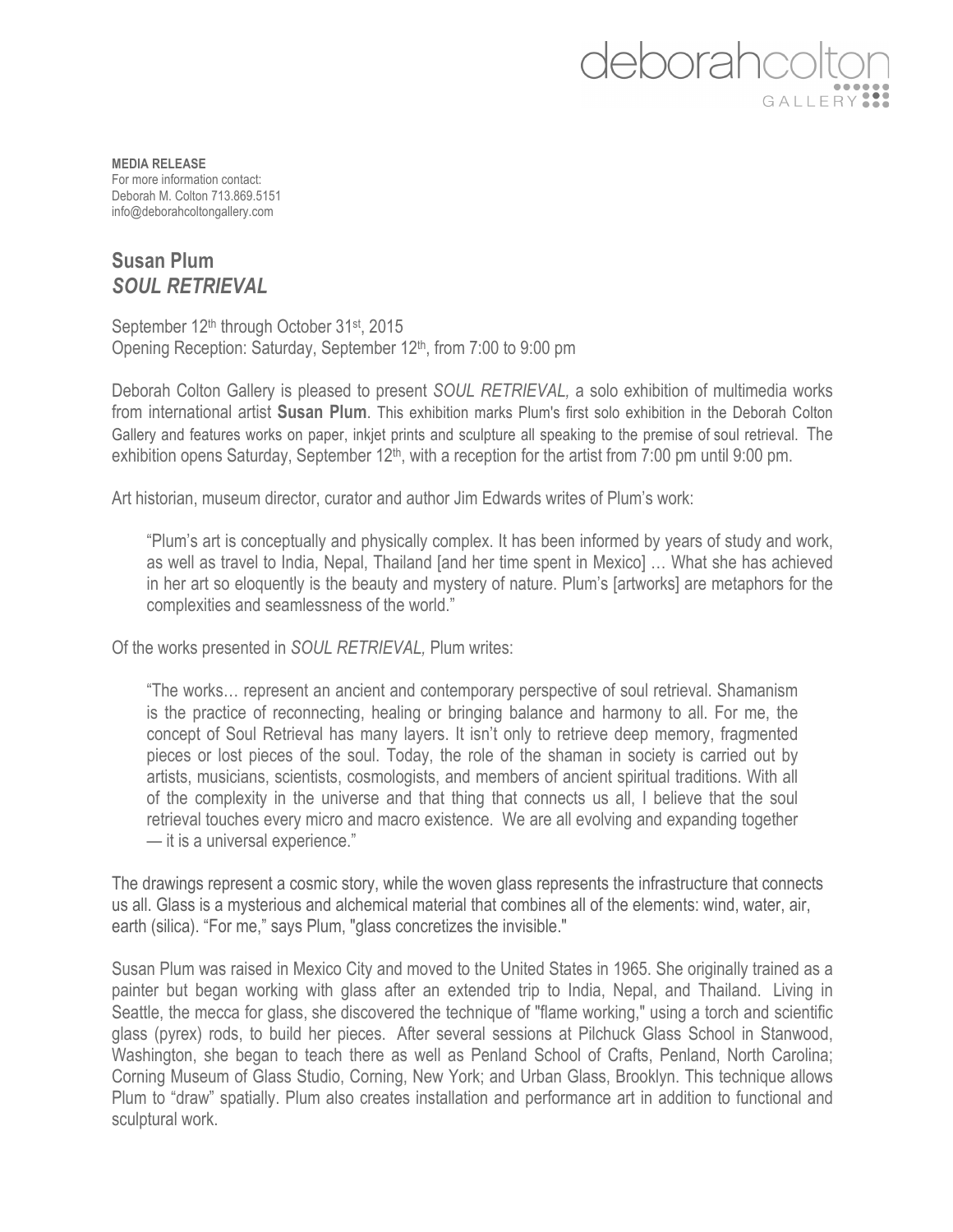## eborahce GALLER

**MEDIA RELEASE** For more information contact: Deborah M. Colton 713.869.5151 info@deborahcoltongallery.com

## **Susan Plum** *SOUL RETRIEVAL*

September 12<sup>th</sup> through October 31<sup>st</sup>, 2015 Opening Reception: Saturday, September 12<sup>th</sup>, from 7:00 to 9:00 pm

Deborah Colton Gallery is pleased to present *SOUL RETRIEVAL,* a solo exhibition of multimedia works from international artist **Susan Plum**. This exhibition marks Plum's first solo exhibition in the Deborah Colton Gallery and features works on paper, inkjet prints and sculpture all speaking to the premise of soul retrieval. The exhibition opens Saturday, September  $12<sup>th</sup>$ , with a reception for the artist from 7:00 pm until 9:00 pm.

Art historian, museum director, curator and author Jim Edwards writes of Plum's work:

"Plum's art is conceptually and physically complex. It has been informed by years of study and work, as well as travel to India, Nepal, Thailand [and her time spent in Mexico] … What she has achieved in her art so eloquently is the beauty and mystery of nature. Plum's [artworks] are metaphors for the complexities and seamlessness of the world."

Of the works presented in *SOUL RETRIEVAL,* Plum writes:

"The works… represent an ancient and contemporary perspective of soul retrieval. Shamanism is the practice of reconnecting, healing or bringing balance and harmony to all. For me, the concept of Soul Retrieval has many layers. It isn't only to retrieve deep memory, fragmented pieces or lost pieces of the soul. Today, the role of the shaman in society is carried out by artists, musicians, scientists, cosmologists, and members of ancient spiritual traditions. With all of the complexity in the universe and that thing that connects us all, I believe that the soul retrieval touches every micro and macro existence. We are all evolving and expanding together — it is a universal experience."

The drawings represent a cosmic story, while the woven glass represents the infrastructure that connects us all. Glass is a mysterious and alchemical material that combines all of the elements: wind, water, air, earth (silica). "For me," says Plum, "glass concretizes the invisible."

Susan Plum was raised in Mexico City and moved to the United States in 1965. She originally trained as a painter but began working with glass after an extended trip to India, Nepal, and Thailand. Living in Seattle, the mecca for glass, she discovered the technique of "flame working," using a torch and scientific glass (pyrex) rods, to build her pieces. After several sessions at Pilchuck Glass School in Stanwood, Washington, she began to teach there as well as Penland School of Crafts, Penland, North Carolina; Corning Museum of Glass Studio, Corning, New York; and Urban Glass, Brooklyn. This technique allows Plum to "draw" spatially. Plum also creates installation and performance art in addition to functional and sculptural work.